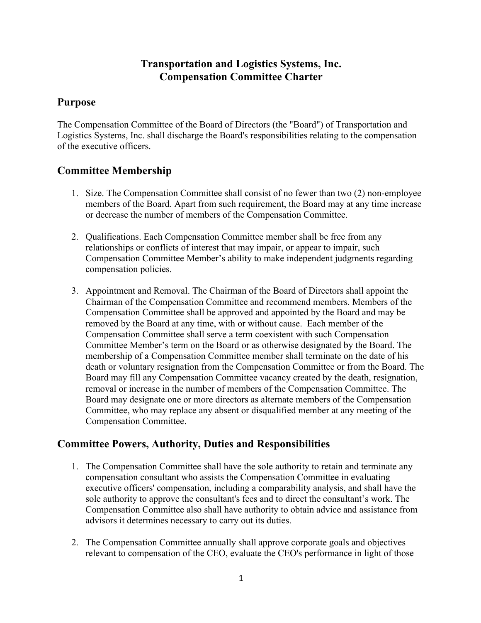# **Transportation and Logistics Systems, Inc. Compensation Committee Charter**

#### **Purpose**

The Compensation Committee of the Board of Directors (the "Board") of Transportation and Logistics Systems, Inc. shall discharge the Board's responsibilities relating to the compensation of the executive officers.

# **Committee Membership**

- 1. Size. The Compensation Committee shall consist of no fewer than two (2) non-employee members of the Board. Apart from such requirement, the Board may at any time increase or decrease the number of members of the Compensation Committee.
- 2. Qualifications. Each Compensation Committee member shall be free from any relationships or conflicts of interest that may impair, or appear to impair, such Compensation Committee Member's ability to make independent judgments regarding compensation policies.
- 3. Appointment and Removal. The Chairman of the Board of Directors shall appoint the Chairman of the Compensation Committee and recommend members. Members of the Compensation Committee shall be approved and appointed by the Board and may be removed by the Board at any time, with or without cause. Each member of the Compensation Committee shall serve a term coexistent with such Compensation Committee Member's term on the Board or as otherwise designated by the Board. The membership of a Compensation Committee member shall terminate on the date of his death or voluntary resignation from the Compensation Committee or from the Board. The Board may fill any Compensation Committee vacancy created by the death, resignation, removal or increase in the number of members of the Compensation Committee. The Board may designate one or more directors as alternate members of the Compensation Committee, who may replace any absent or disqualified member at any meeting of the Compensation Committee.

### **Committee Powers, Authority, Duties and Responsibilities**

- 1. The Compensation Committee shall have the sole authority to retain and terminate any compensation consultant who assists the Compensation Committee in evaluating executive officers' compensation, including a comparability analysis, and shall have the sole authority to approve the consultant's fees and to direct the consultant's work. The Compensation Committee also shall have authority to obtain advice and assistance from advisors it determines necessary to carry out its duties.
- 2. The Compensation Committee annually shall approve corporate goals and objectives relevant to compensation of the CEO, evaluate the CEO's performance in light of those